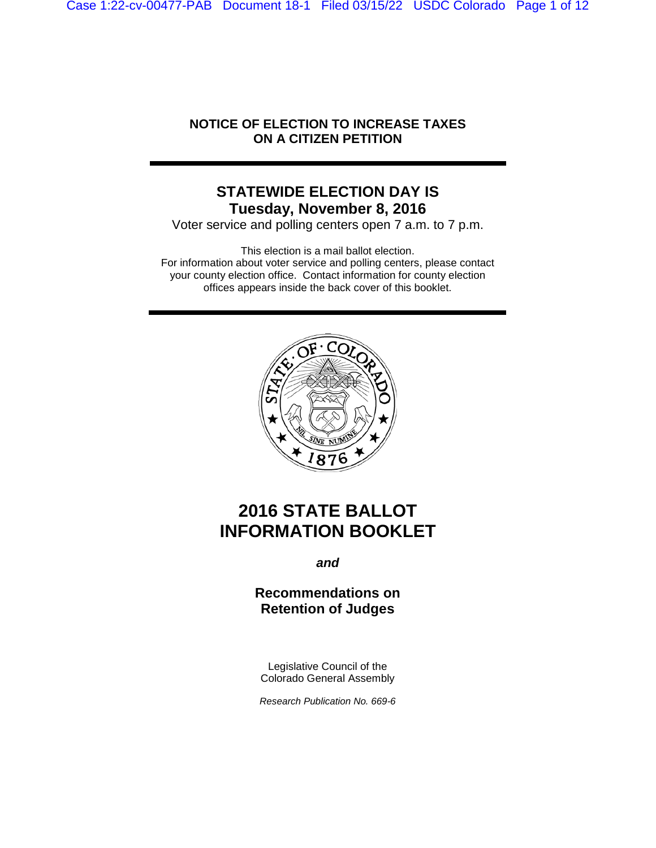Case 1:22-cv-00477-PAB Document 18-1 Filed 03/15/22 USDC Colorado Page 1 of 12

## **NOTICE OF ELECTION TO INCREASE TAXES ON A CITIZEN PETITION**

## **STATEWIDE ELECTION DAY IS Tuesday, November 8, 2016**

Voter service and polling centers open 7 a.m. to 7 p.m.

This election is a mail ballot election. For information about voter service and polling centers, please contact your county election office. Contact information for county election offices appears inside the back cover of this booklet.



# **2016 STATE BALLOT INFORMATION BOOKLET**

*and*

## **Recommendations on Retention of Judges**

Legislative Council of the Colorado General Assembly

*Research Publication No. 669-6*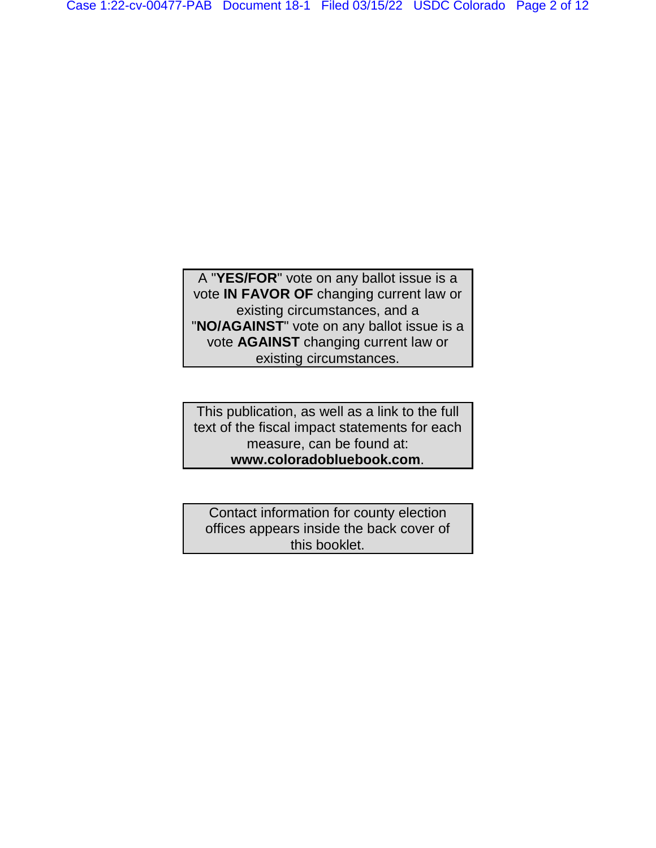A "**YES/FOR**" vote on any ballot issue is a vote **IN FAVOR OF** changing current law or existing circumstances, and a "**NO/AGAINST**" vote on any ballot issue is a vote **AGAINST** changing current law or existing circumstances.

This publication, as well as a link to the full text of the fiscal impact statements for each measure, can be found at: **www.coloradobluebook.com**.

Contact information for county election offices appears inside the back cover of this booklet.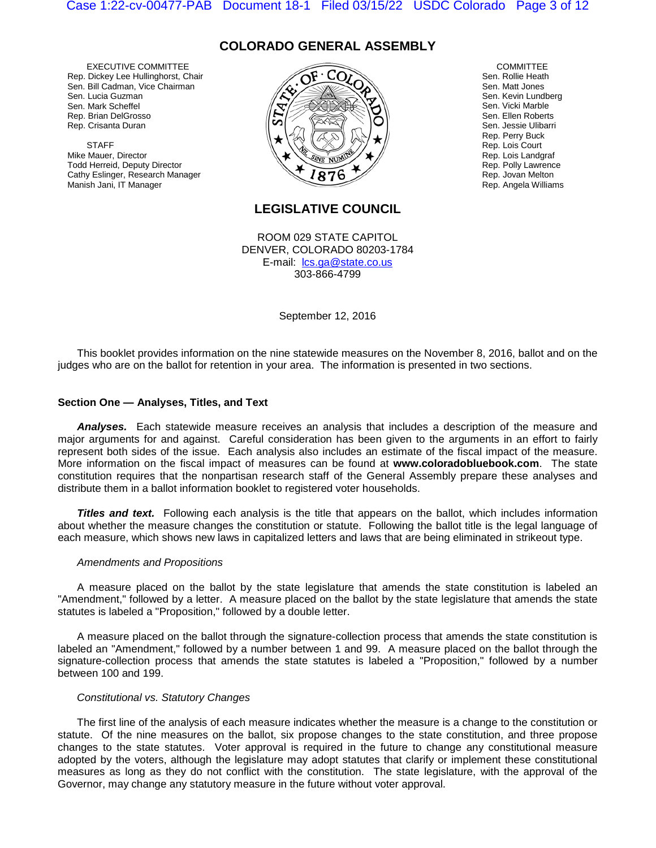## **COLORADO GENERAL ASSEMBLY**

EXECUTIVE COMMITTEE Rep. Dickey Lee Hullinghorst, Chair Sen. Bill Cadman, Vice Chairman Sen. Lucia Guzman Sen. Mark Scheffel Rep. Brian DelGrosso Rep. Crisanta Duran

**STAFF** Mike Mauer, Director Todd Herreid, Deputy Director Cathy Eslinger, Research Manager Manish Jani, IT Manager



**COMMITTEE** Sen. Rollie Heath Sen. Matt Jones Sen. Kevin Lundberg Sen. Vicki Marble Sen. Ellen Roberts Sen. Jessie Ulibarri Rep. Perry Buck Rep. Lois Court Rep. Lois Landgraf Rep. Polly Lawrence Rep. Jovan Melton Rep. Angela Williams

## **LEGISLATIVE COUNCIL**

ROOM 029 STATE CAPITOL DENVER, COLORADO 80203-1784 E-mail: lcs.ga@state.co.us 303-866-4799

September 12, 2016

This booklet provides information on the nine statewide measures on the November 8, 2016, ballot and on the judges who are on the ballot for retention in your area. The information is presented in two sections.

### **Section One — Analyses, Titles, and Text**

*Analyses.* Each statewide measure receives an analysis that includes a description of the measure and major arguments for and against. Careful consideration has been given to the arguments in an effort to fairly represent both sides of the issue. Each analysis also includes an estimate of the fiscal impact of the measure. More information on the fiscal impact of measures can be found at **www.coloradobluebook.com**. The state constitution requires that the nonpartisan research staff of the General Assembly prepare these analyses and distribute them in a ballot information booklet to registered voter households.

**Titles and text.** Following each analysis is the title that appears on the ballot, which includes information about whether the measure changes the constitution or statute. Following the ballot title is the legal language of each measure, which shows new laws in capitalized letters and laws that are being eliminated in strikeout type.

#### *Amendments and Propositions*

A measure placed on the ballot by the state legislature that amends the state constitution is labeled an "Amendment," followed by a letter. A measure placed on the ballot by the state legislature that amends the state statutes is labeled a "Proposition," followed by a double letter.

A measure placed on the ballot through the signature-collection process that amends the state constitution is labeled an "Amendment," followed by a number between 1 and 99. A measure placed on the ballot through the signature-collection process that amends the state statutes is labeled a "Proposition," followed by a number between 100 and 199.

#### *Constitutional vs. Statutory Changes*

The first line of the analysis of each measure indicates whether the measure is a change to the constitution or statute. Of the nine measures on the ballot, six propose changes to the state constitution, and three propose changes to the state statutes. Voter approval is required in the future to change any constitutional measure adopted by the voters, although the legislature may adopt statutes that clarify or implement these constitutional measures as long as they do not conflict with the constitution. The state legislature, with the approval of the Governor, may change any statutory measure in the future without voter approval.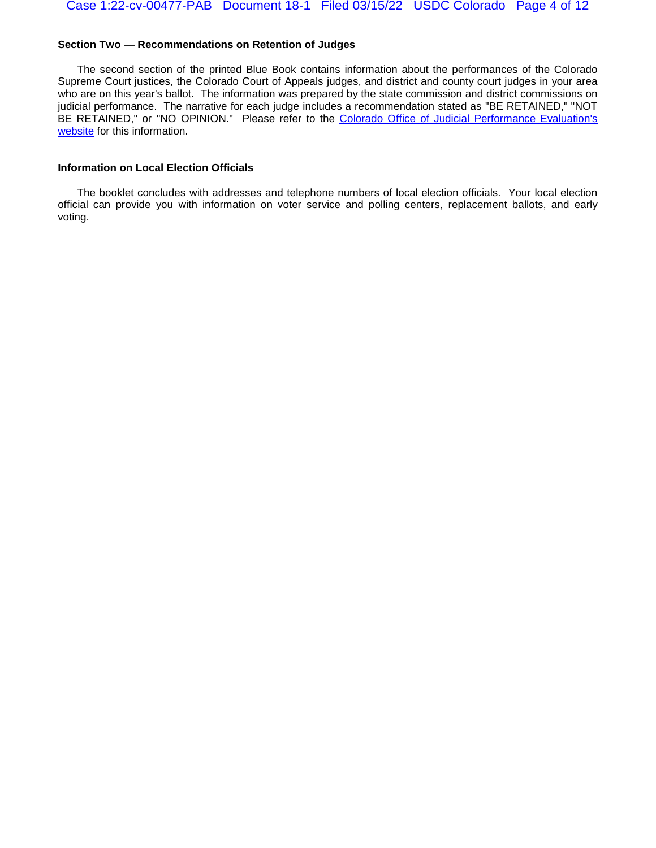#### **Section Two — Recommendations on Retention of Judges**

The second section of the printed Blue Book contains information about the performances of the Colorado Supreme Court justices, the Colorado Court of Appeals judges, and district and county court judges in your area who are on this year's ballot. The information was prepared by the state commission and district commissions on judicial performance. The narrative for each judge includes a recommendation stated as "BE RETAINED," "NOT BE RETAINED," or "NO OPINION." Please refer to the Colorado Office of Judicial Performance Evaluation's [website](http://www.coloradojudicialperformance.gov/review.cfm?year=2016) for this information.

### **Information on Local Election Officials**

The booklet concludes with addresses and telephone numbers of local election officials. Your local election official can provide you with information on voter service and polling centers, replacement ballots, and early voting.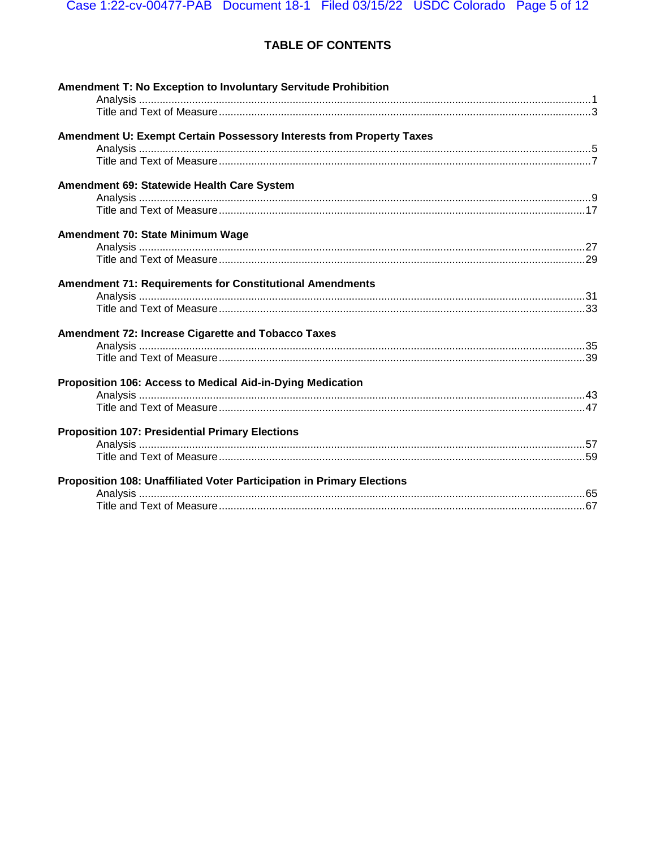## TABLE OF CONTENTS

| <b>Amendment T: No Exception to Involuntary Servitude Prohibition</b>  |  |
|------------------------------------------------------------------------|--|
|                                                                        |  |
| Amendment U: Exempt Certain Possessory Interests from Property Taxes   |  |
|                                                                        |  |
|                                                                        |  |
| Amendment 69: Statewide Health Care System                             |  |
|                                                                        |  |
|                                                                        |  |
| Amendment 70: State Minimum Wage                                       |  |
|                                                                        |  |
|                                                                        |  |
| <b>Amendment 71: Requirements for Constitutional Amendments</b>        |  |
|                                                                        |  |
|                                                                        |  |
| Amendment 72: Increase Cigarette and Tobacco Taxes                     |  |
|                                                                        |  |
|                                                                        |  |
| Proposition 106: Access to Medical Aid-in-Dying Medication             |  |
|                                                                        |  |
|                                                                        |  |
| <b>Proposition 107: Presidential Primary Elections</b>                 |  |
|                                                                        |  |
|                                                                        |  |
| Proposition 108: Unaffiliated Voter Participation in Primary Elections |  |
|                                                                        |  |
|                                                                        |  |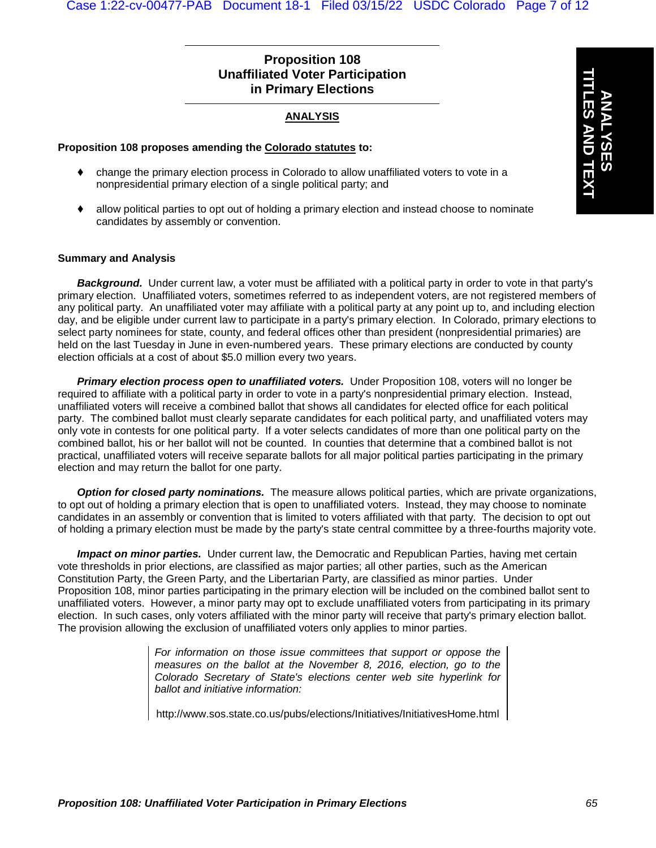## **Proposition 108 Unaffiliated Voter Participation in Primary Elections**

## **ANALYSIS**

### **Proposition 108 proposes amending the Colorado statutes to:**

- change the primary election process in Colorado to allow unaffiliated voters to vote in a nonpresidential primary election of a single political party; and
- allow political parties to opt out of holding a primary election and instead choose to nominate candidates by assembly or convention.

### **Summary and Analysis**

*Background.* Under current law, a voter must be affiliated with a political party in order to vote in that party's primary election. Unaffiliated voters, sometimes referred to as independent voters, are not registered members of any political party. An unaffiliated voter may affiliate with a political party at any point up to, and including election day, and be eligible under current law to participate in a party's primary election. In Colorado, primary elections to select party nominees for state, county, and federal offices other than president (nonpresidential primaries) are held on the last Tuesday in June in even-numbered years. These primary elections are conducted by county election officials at a cost of about \$5.0 million every two years.

*Primary election process open to unaffiliated voters.* Under Proposition 108, voters will no longer be required to affiliate with a political party in order to vote in a party's nonpresidential primary election. Instead, unaffiliated voters will receive a combined ballot that shows all candidates for elected office for each political party. The combined ballot must clearly separate candidates for each political party, and unaffiliated voters may only vote in contests for one political party. If a voter selects candidates of more than one political party on the combined ballot, his or her ballot will not be counted. In counties that determine that a combined ballot is not practical, unaffiliated voters will receive separate ballots for all major political parties participating in the primary election and may return the ballot for one party.

*Option for closed party nominations.* The measure allows political parties, which are private organizations, to opt out of holding a primary election that is open to unaffiliated voters. Instead, they may choose to nominate candidates in an assembly or convention that is limited to voters affiliated with that party. The decision to opt out of holding a primary election must be made by the party's state central committee by a three-fourths majority vote.

*Impact on minor parties.* Under current law, the Democratic and Republican Parties, having met certain vote thresholds in prior elections, are classified as major parties; all other parties, such as the American Constitution Party, the Green Party, and the Libertarian Party, are classified as minor parties. Under Proposition 108, minor parties participating in the primary election will be included on the combined ballot sent to unaffiliated voters. However, a minor party may opt to exclude unaffiliated voters from participating in its primary election. In such cases, only voters affiliated with the minor party will receive that party's primary election ballot. The provision allowing the exclusion of unaffiliated voters only applies to minor parties.

> *For information on those issue committees that support or oppose the measures on the ballot at the November 8, 2016, election, go to the Colorado Secretary of State's elections center web site hyperlink for ballot and initiative information:*

> http://www.sos.state.co.us/pubs/elections/Initiatives/InitiativesHome.html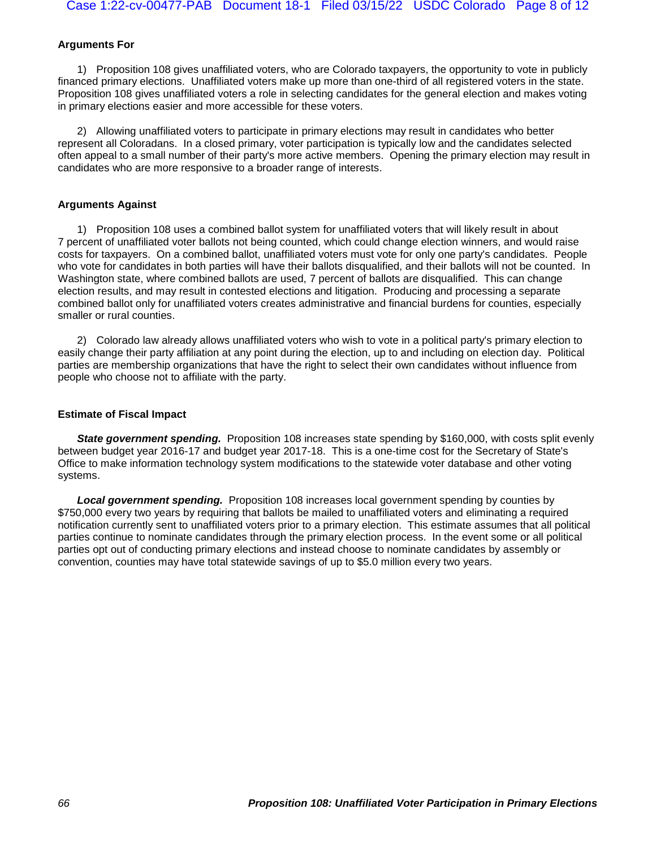### **Arguments For**

1) Proposition 108 gives unaffiliated voters, who are Colorado taxpayers, the opportunity to vote in publicly financed primary elections. Unaffiliated voters make up more than one-third of all registered voters in the state. Proposition 108 gives unaffiliated voters a role in selecting candidates for the general election and makes voting in primary elections easier and more accessible for these voters.

2) Allowing unaffiliated voters to participate in primary elections may result in candidates who better represent all Coloradans. In a closed primary, voter participation is typically low and the candidates selected often appeal to a small number of their party's more active members. Opening the primary election may result in candidates who are more responsive to a broader range of interests.

### **Arguments Against**

1) Proposition 108 uses a combined ballot system for unaffiliated voters that will likely result in about 7 percent of unaffiliated voter ballots not being counted, which could change election winners, and would raise costs for taxpayers. On a combined ballot, unaffiliated voters must vote for only one party's candidates. People who vote for candidates in both parties will have their ballots disqualified, and their ballots will not be counted. In Washington state, where combined ballots are used, 7 percent of ballots are disqualified. This can change election results, and may result in contested elections and litigation. Producing and processing a separate combined ballot only for unaffiliated voters creates administrative and financial burdens for counties, especially smaller or rural counties.

2) Colorado law already allows unaffiliated voters who wish to vote in a political party's primary election to easily change their party affiliation at any point during the election, up to and including on election day. Political parties are membership organizations that have the right to select their own candidates without influence from people who choose not to affiliate with the party.

## **Estimate of Fiscal Impact**

**State government spending.** Proposition 108 increases state spending by \$160,000, with costs split evenly between budget year 2016-17 and budget year 2017-18. This is a one-time cost for the Secretary of State's Office to make information technology system modifications to the statewide voter database and other voting systems.

*Local government spending.* Proposition 108 increases local government spending by counties by \$750,000 every two years by requiring that ballots be mailed to unaffiliated voters and eliminating a required notification currently sent to unaffiliated voters prior to a primary election. This estimate assumes that all political parties continue to nominate candidates through the primary election process. In the event some or all political parties opt out of conducting primary elections and instead choose to nominate candidates by assembly or convention, counties may have total statewide savings of up to \$5.0 million every two years.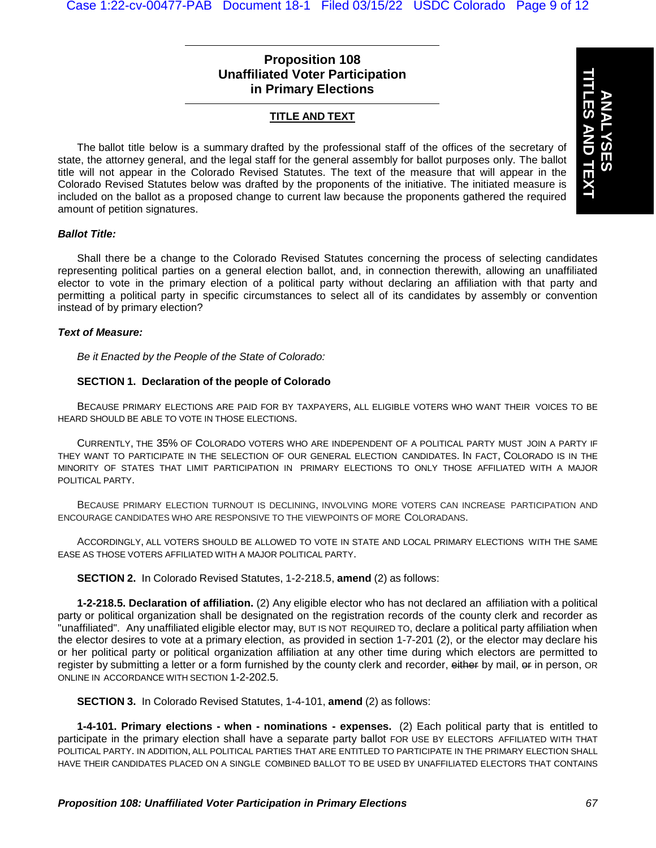## **Proposition 108 Unaffiliated Voter Participation in Primary Elections**

## **TITLE AND TEXT**

The ballot title below is a summary drafted by the professional staff of the offices of the secretary of state, the attorney general, and the legal staff for the general assembly for ballot purposes only. The ballot title will not appear in the Colorado Revised Statutes. The text of the measure that will appear in the Colorado Revised Statutes below was drafted by the proponents of the initiative. The initiated measure is included on the ballot as a proposed change to current law because the proponents gathered the required amount of petition signatures.

#### *Ballot Title:*

Shall there be a change to the Colorado Revised Statutes concerning the process of selecting candidates representing political parties on a general election ballot, and, in connection therewith, allowing an unaffiliated elector to vote in the primary election of a political party without declaring an affiliation with that party and permitting a political party in specific circumstances to select all of its candidates by assembly or convention instead of by primary election?

#### *Text of Measure:*

*Be it Enacted by the People of the State of Colorado:*

### **SECTION 1. Declaration of the people of Colorado**

BECAUSE PRIMARY ELECTIONS ARE PAID FOR BY TAXPAYERS, ALL ELIGIBLE VOTERS WHO WANT THEIR VOICES TO BE HEARD SHOULD BE ABLE TO VOTE IN THOSE ELECTIONS.

CURRENTLY, THE 35% OF COLORADO VOTERS WHO ARE INDEPENDENT OF A POLITICAL PARTY MUST JOIN A PARTY IF THEY WANT TO PARTICIPATE IN THE SELECTION OF OUR GENERAL ELECTION CANDIDATES. IN FACT, COLORADO IS IN THE MINORITY OF STATES THAT LIMIT PARTICIPATION IN PRIMARY ELECTIONS TO ONLY THOSE AFFILIATED WITH A MAJOR POLITICAL PARTY.

BECAUSE PRIMARY ELECTION TURNOUT IS DECLINING, INVOLVING MORE VOTERS CAN INCREASE PARTICIPATION AND ENCOURAGE CANDIDATES WHO ARE RESPONSIVE TO THE VIEWPOINTS OF MORE COLORADANS.

ACCORDINGLY, ALL VOTERS SHOULD BE ALLOWED TO VOTE IN STATE AND LOCAL PRIMARY ELECTIONS WITH THE SAME EASE AS THOSE VOTERS AFFILIATED WITH A MAJOR POLITICAL PARTY.

**SECTION 2.** In Colorado Revised Statutes, 1-2-218.5, **amend** (2) as follows:

**1-2-218.5. Declaration of affiliation.** (2) Any eligible elector who has not declared an affiliation with a political party or political organization shall be designated on the registration records of the county clerk and recorder as "unaffiliated". Any unaffiliated eligible elector may, BUT IS NOT REQUIRED TO, declare a political party affiliation when the elector desires to vote at a primary election, as provided in section 1-7-201 (2), or the elector may declare his or her political party or political organization affiliation at any other time during which electors are permitted to register by submitting a letter or a form furnished by the county clerk and recorder, either by mail, er in person, OR ONLINE IN ACCORDANCE WITH SECTION 1-2-202.5.

**SECTION 3.** In Colorado Revised Statutes, 1-4-101, **amend** (2) as follows:

**1-4-101. Primary elections - when - nominations - expenses.** (2) Each political party that is entitled to participate in the primary election shall have a separate party ballot FOR USE BY ELECTORS AFFILIATED WITH THAT POLITICAL PARTY. IN ADDITION, ALL POLITICAL PARTIES THAT ARE ENTITLED TO PARTICIPATE IN THE PRIMARY ELECTION SHALL HAVE THEIR CANDIDATES PLACED ON A SINGLE COMBINED BALLOT TO BE USED BY UNAFFILIATED ELECTORS THAT CONTAINS

**ANALYSES**

**TITLES AND TEXT**

**ES AND TEXT**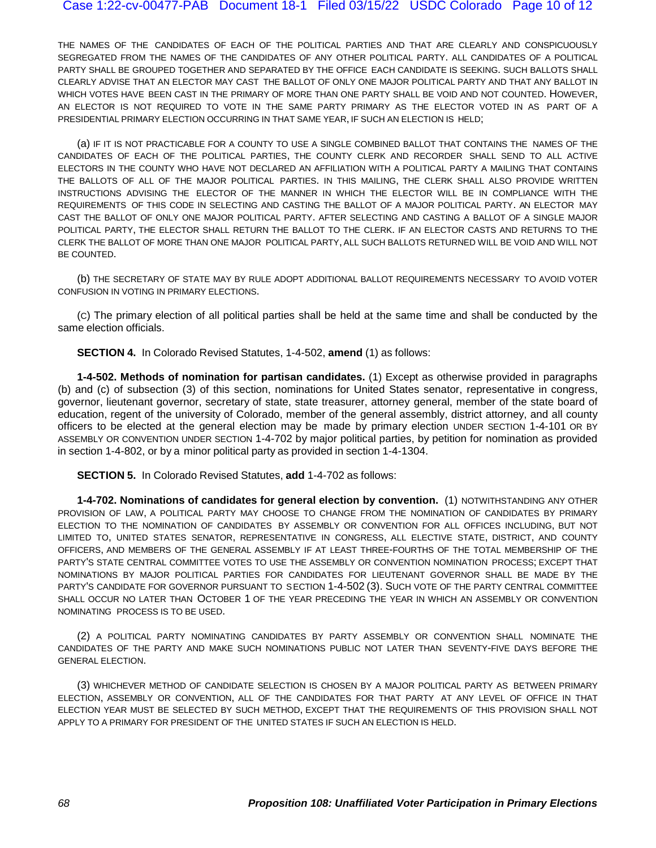THE NAMES OF THE CANDIDATES OF EACH OF THE POLITICAL PARTIES AND THAT ARE CLEARLY AND CONSPICUOUSLY SEGREGATED FROM THE NAMES OF THE CANDIDATES OF ANY OTHER POLITICAL PARTY. ALL CANDIDATES OF A POLITICAL PARTY SHALL BE GROUPED TOGETHER AND SEPARATED BY THE OFFICE EACH CANDIDATE IS SEEKING. SUCH BALLOTS SHALL CLEARLY ADVISE THAT AN ELECTOR MAY CAST THE BALLOT OF ONLY ONE MAJOR POLITICAL PARTY AND THAT ANY BALLOT IN WHICH VOTES HAVE BEEN CAST IN THE PRIMARY OF MORE THAN ONE PARTY SHALL BE VOID AND NOT COUNTED. HOWEVER, AN ELECTOR IS NOT REQUIRED TO VOTE IN THE SAME PARTY PRIMARY AS THE ELECTOR VOTED IN AS PART OF A PRESIDENTIAL PRIMARY ELECTION OCCURRING IN THAT SAME YEAR, IF SUCH AN ELECTION IS HELD;

(a) IF IT IS NOT PRACTICABLE FOR A COUNTY TO USE A SINGLE COMBINED BALLOT THAT CONTAINS THE NAMES OF THE CANDIDATES OF EACH OF THE POLITICAL PARTIES, THE COUNTY CLERK AND RECORDER SHALL SEND TO ALL ACTIVE ELECTORS IN THE COUNTY WHO HAVE NOT DECLARED AN AFFILIATION WITH A POLITICAL PARTY A MAILING THAT CONTAINS THE BALLOTS OF ALL OF THE MAJOR POLITICAL PARTIES. IN THIS MAILING, THE CLERK SHALL ALSO PROVIDE WRITTEN INSTRUCTIONS ADVISING THE ELECTOR OF THE MANNER IN WHICH THE ELECTOR WILL BE IN COMPLIANCE WITH THE REQUIREMENTS OF THIS CODE IN SELECTING AND CASTING THE BALLOT OF A MAJOR POLITICAL PARTY. AN ELECTOR MAY CAST THE BALLOT OF ONLY ONE MAJOR POLITICAL PARTY. AFTER SELECTING AND CASTING A BALLOT OF A SINGLE MAJOR POLITICAL PARTY, THE ELECTOR SHALL RETURN THE BALLOT TO THE CLERK. IF AN ELECTOR CASTS AND RETURNS TO THE CLERK THE BALLOT OF MORE THAN ONE MAJOR POLITICAL PARTY, ALL SUCH BALLOTS RETURNED WILL BE VOID AND WILL NOT BE COUNTED.

(b) THE SECRETARY OF STATE MAY BY RULE ADOPT ADDITIONAL BALLOT REQUIREMENTS NECESSARY TO AVOID VOTER CONFUSION IN VOTING IN PRIMARY ELECTIONS.

(C) The primary election of all political parties shall be held at the same time and shall be conducted by the same election officials.

**SECTION 4.** In Colorado Revised Statutes, 1-4-502, **amend** (1) as follows:

**1-4-502. Methods of nomination for partisan candidates.** (1) Except as otherwise provided in paragraphs (b) and (c) of subsection (3) of this section, nominations for United States senator, representative in congress, governor, lieutenant governor, secretary of state, state treasurer, attorney general, member of the state board of education, regent of the university of Colorado, member of the general assembly, district attorney, and all county officers to be elected at the general election may be made by primary election UNDER SECTION 1-4-101 OR BY ASSEMBLY OR CONVENTION UNDER SECTION 1-4-702 by major political parties, by petition for nomination as provided in section 1-4-802, or by a minor political party as provided in section 1-4-1304.

**SECTION 5.** In Colorado Revised Statutes, **add** 1-4-702 as follows:

**1-4-702. Nominations of candidates for general election by convention.** (1) NOTWITHSTANDING ANY OTHER PROVISION OF LAW, A POLITICAL PARTY MAY CHOOSE TO CHANGE FROM THE NOMINATION OF CANDIDATES BY PRIMARY ELECTION TO THE NOMINATION OF CANDIDATES BY ASSEMBLY OR CONVENTION FOR ALL OFFICES INCLUDING, BUT NOT LIMITED TO, UNITED STATES SENATOR, REPRESENTATIVE IN CONGRESS, ALL ELECTIVE STATE, DISTRICT, AND COUNTY OFFICERS, AND MEMBERS OF THE GENERAL ASSEMBLY IF AT LEAST THREE-FOURTHS OF THE TOTAL MEMBERSHIP OF THE PARTY'S STATE CENTRAL COMMITTEE VOTES TO USE THE ASSEMBLY OR CONVENTION NOMINATION PROCESS; EXCEPT THAT NOMINATIONS BY MAJOR POLITICAL PARTIES FOR CANDIDATES FOR LIEUTENANT GOVERNOR SHALL BE MADE BY THE PARTY'S CANDIDATE FOR GOVERNOR PURSUANT TO SECTION 1-4-502 (3). SUCH VOTE OF THE PARTY CENTRAL COMMITTEE SHALL OCCUR NO LATER THAN OCTOBER 1 OF THE YEAR PRECEDING THE YEAR IN WHICH AN ASSEMBLY OR CONVENTION NOMINATING PROCESS IS TO BE USED.

(2) A POLITICAL PARTY NOMINATING CANDIDATES BY PARTY ASSEMBLY OR CONVENTION SHALL NOMINATE THE CANDIDATES OF THE PARTY AND MAKE SUCH NOMINATIONS PUBLIC NOT LATER THAN SEVENTY-FIVE DAYS BEFORE THE GENERAL ELECTION.

(3) WHICHEVER METHOD OF CANDIDATE SELECTION IS CHOSEN BY A MAJOR POLITICAL PARTY AS BETWEEN PRIMARY ELECTION, ASSEMBLY OR CONVENTION, ALL OF THE CANDIDATES FOR THAT PARTY AT ANY LEVEL OF OFFICE IN THAT ELECTION YEAR MUST BE SELECTED BY SUCH METHOD, EXCEPT THAT THE REQUIREMENTS OF THIS PROVISION SHALL NOT APPLY TO A PRIMARY FOR PRESIDENT OF THE UNITED STATES IF SUCH AN ELECTION IS HELD.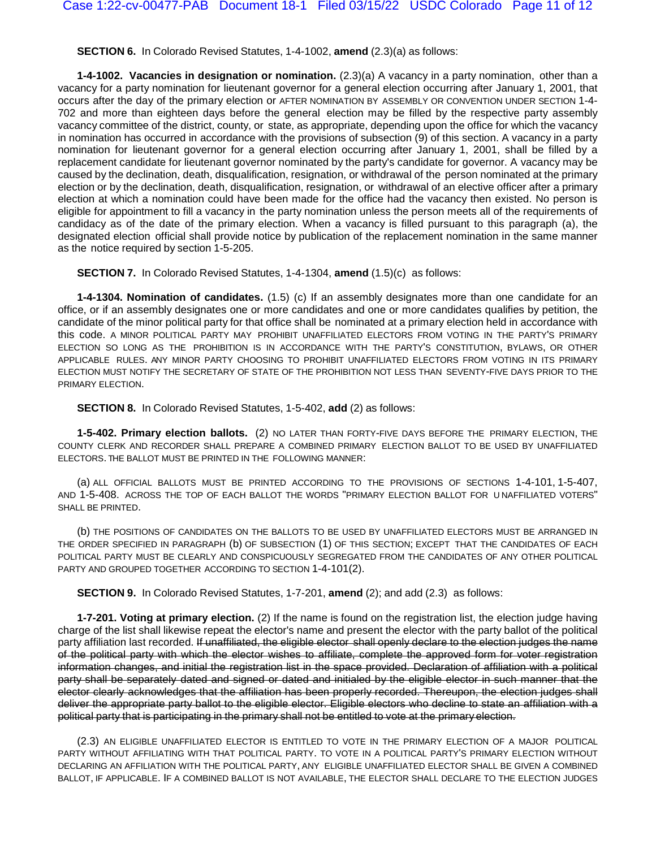**SECTION 6.** In Colorado Revised Statutes, 1-4-1002, **amend** (2.3)(a) as follows:

**1-4-1002. Vacancies in designation or nomination.** (2.3)(a) A vacancy in a party nomination, other than a vacancy for a party nomination for lieutenant governor for a general election occurring after January 1, 2001, that occurs after the day of the primary election or AFTER NOMINATION BY ASSEMBLY OR CONVENTION UNDER SECTION 1-4- 702 and more than eighteen days before the general election may be filled by the respective party assembly vacancy committee of the district, county, or state, as appropriate, depending upon the office for which the vacancy in nomination has occurred in accordance with the provisions of subsection (9) of this section. A vacancy in a party nomination for lieutenant governor for a general election occurring after January 1, 2001, shall be filled by a replacement candidate for lieutenant governor nominated by the party's candidate for governor. A vacancy may be caused by the declination, death, disqualification, resignation, or withdrawal of the person nominated at the primary election or by the declination, death, disqualification, resignation, or withdrawal of an elective officer after a primary election at which a nomination could have been made for the office had the vacancy then existed. No person is eligible for appointment to fill a vacancy in the party nomination unless the person meets all of the requirements of candidacy as of the date of the primary election. When a vacancy is filled pursuant to this paragraph (a), the designated election official shall provide notice by publication of the replacement nomination in the same manner as the notice required by section [1-5-205.](http://web.lexisnexis.com/research/buttonTFLink?_m=a27794a430dd03e7a3c1495740aa6528&_xfercite=%3ccite%20cc%3d%22USA%22%3e%3c%21%5bCDATA%5bC.R.S.%201-4-1002%5d%5d%3e%3c%2fcite%3e&_butType=4&_butStat=0&_butNum=2&_butInline=1&_butinfo=COCODE%201-5-205&_fmtstr=FULL&docnum=6&_startdoc=1&wchp=dGLbVzB-zSkAb&_md5=5583209ea29711073a1d96c5e6ce2d71)

**SECTION 7.** In Colorado Revised Statutes, 1-4-1304, **amend** (1.5)(c) as follows:

**1-4-1304. Nomination of candidates.** (1.5) (c) If an assembly designates more than one candidate for an office, or if an assembly designates one or more candidates and one or more candidates qualifies by petition, the candidate of the minor political party for that office shall be nominated at a primary election held in accordance with this code. A MINOR POLITICAL PARTY MAY PROHIBIT UNAFFILIATED ELECTORS FROM VOTING IN THE PARTY'S PRIMARY ELECTION SO LONG AS THE PROHIBITION IS IN ACCORDANCE WITH THE PARTY'S CONSTITUTION, BYLAWS, OR OTHER APPLICABLE RULES. ANY MINOR PARTY CHOOSING TO PROHIBIT UNAFFILIATED ELECTORS FROM VOTING IN ITS PRIMARY ELECTION MUST NOTIFY THE SECRETARY OF STATE OF THE PROHIBITION NOT LESS THAN SEVENTY-FIVE DAYS PRIOR TO THE PRIMARY ELECTION.

**SECTION 8.** In Colorado Revised Statutes, 1-5-402, **add** (2) as follows:

**1-5-402. Primary election ballots.** (2) NO LATER THAN FORTY-FIVE DAYS BEFORE THE PRIMARY ELECTION, THE COUNTY CLERK AND RECORDER SHALL PREPARE A COMBINED PRIMARY ELECTION BALLOT TO BE USED BY UNAFFILIATED ELECTORS. THE BALLOT MUST BE PRINTED IN THE FOLLOWING MANNER:

(a) ALL OFFICIAL BALLOTS MUST BE PRINTED ACCORDING TO THE PROVISIONS OF SECTIONS 1-4-101, 1-5-407, AND 1-5-408. ACROSS THE TOP OF EACH BALLOT THE WORDS "PRIMARY ELECTION BALLOT FOR U NAFFILIATED VOTERS" SHALL BE PRINTED.

(b) THE POSITIONS OF CANDIDATES ON THE BALLOTS TO BE USED BY UNAFFILIATED ELECTORS MUST BE ARRANGED IN THE ORDER SPECIFIED IN PARAGRAPH (b) OF SUBSECTION (1) OF THIS SECTION; EXCEPT THAT THE CANDIDATES OF EACH POLITICAL PARTY MUST BE CLEARLY AND CONSPICUOUSLY SEGREGATED FROM THE CANDIDATES OF ANY OTHER POLITICAL PARTY AND GROUPED TOGETHER ACCORDING TO SECTION 1-4-101(2).

**SECTION 9.** In Colorado Revised Statutes, 1-7-201, **amend** (2); and add (2.3) as follows:

**1-7-201. Voting at primary election.** (2) If the name is found on the registration list, the election judge having charge of the list shall likewise repeat the elector's name and present the elector with the party ballot of the political party affiliation last recorded. If unaffiliated, the eligible elector shall openly declare to the election judges the name of the political party with which the elector wishes to affiliate, complete the approved form for voter registration information changes, and initial the registration list in the space provided. Declaration of affiliation with a political party shall be separately dated and signed or dated and initialed by the eligible elector in such manner that the elector clearly acknowledges that the affiliation has been properly recorded. Thereupon, the election judges shall deliver the appropriate party ballot to the eligible elector. Eligible electors who decline to state an affiliation with a political party that is participating in the primary shall not be entitled to vote at the primary election.

(2.3) AN ELIGIBLE UNAFFILIATED ELECTOR IS ENTITLED TO VOTE IN THE PRIMARY ELECTION OF A MAJOR POLITICAL PARTY WITHOUT AFFILIATING WITH THAT POLITICAL PARTY. TO VOTE IN A POLITICAL PARTY'S PRIMARY ELECTION WITHOUT DECLARING AN AFFILIATION WITH THE POLITICAL PARTY, ANY ELIGIBLE UNAFFILIATED ELECTOR SHALL BE GIVEN A COMBINED BALLOT, IF APPLICABLE. IF A COMBINED BALLOT IS NOT AVAILABLE, THE ELECTOR SHALL DECLARE TO THE ELECTION JUDGES